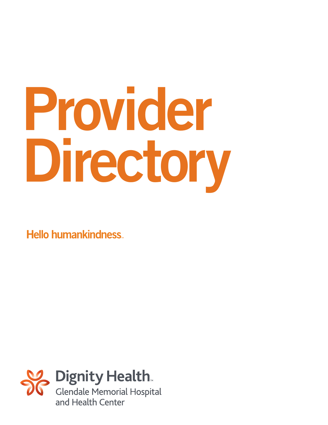# Provider Directory

**Hello humankindness** 

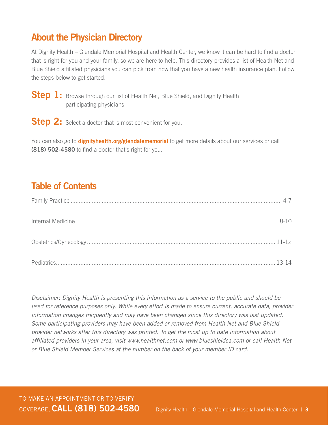#### About the Physician Directory

At Dignity Health – Glendale Memorial Hospital and Health Center, we know it can be hard to find a doctor that is right for you and your family, so we are here to help. This directory provides a list of Health Net and Blue Shield affiliated physicians you can pick from now that you have a new health insurance plan. Follow the steps below to get started.

Step 1: Browse through our list of Health Net, Blue Shield, and Dignity Health participating physicians.

**Step 2:** Select a doctor that is most convenient for you.

You can also go to **dignityhealth.org/glendalememorial** to get more details about our services or call (818) 502-4580 to find a doctor that's right for you.

#### Table of Contents

Disclaimer: Dignity Health is presenting this information as a service to the public and should be used for reference purposes only. While every effort is made to ensure current, accurate data, provider information changes frequently and may have been changed since this directory was last updated. Some participating providers may have been added or removed from Health Net and Blue Shield provider networks after this directory was printed. To get the most up to date information about affiliated providers in your area, visit www.healthnet.com or www.blueshieldca.com or call Health Net or Blue Shield Member Services at the number on the back of your member ID card.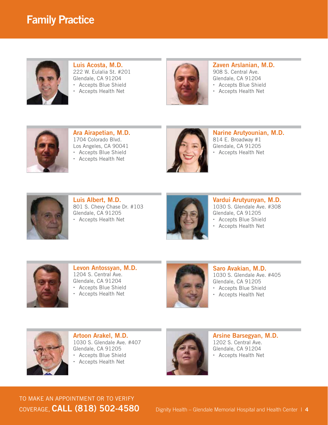

Luis Acosta, M.D. 222 W. Eulalia St. #201 Glendale, CA 91204 Accepts Blue Shield Accepts Health Net



Zaven Arslanian, M.D. 908 S. Central Ave. Glendale, CA 91204 Accepts Blue Shield

Accepts Health Net



Ara Airapetian, M.D. 1704 Colorado Blvd. Los Angeles, CA 90041 Accepts Blue Shield

Accepts Health Net



Narine Arutyounian, M.D. 814 E. Broadway #1 Glendale, CA 91205 Accepts Health Net



Luis Albert, M.D. 801 S. Chevy Chase Dr. #103 Glendale, CA 91205 Accepts Health Net



Vardui Arutyunyan, M.D. 1030 S. Glendale Ave. #308 Glendale, CA 91205 Accepts Blue Shield

Accepts Health Net



Levon Antossyan, M.D. 1204 S. Central Ave. Glendale, CA 91204 Accepts Blue Shield

Accepts Health Net



Saro Avakian, M.D. 1030 S. Glendale Ave. #405 Glendale, CA 91205 Accepts Blue Shield

Accepts Health Net



Artoon Arakel, M.D. 1030 S. Glendale Ave. #407 Glendale, CA 91205 Accepts Blue Shield

Accepts Health Net



Arsine Barsegyan, M.D. 1202 S. Central Ave. Glendale, CA 91204 Accepts Health Net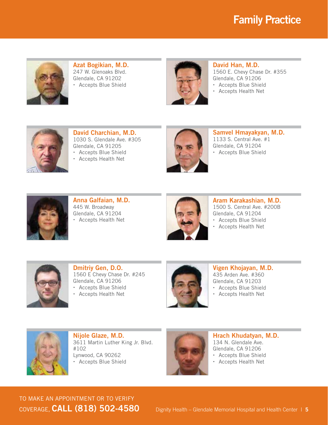

Azat Bogikian, M.D. 247 W. Glenoaks Blvd. Glendale, CA 91202 Accepts Blue Shield



David Han, M.D. 1560 E. Chevy Chase Dr. #355 Glendale, CA 91206 Accepts Blue Shield

Accepts Health Net



David Charchian, M.D. 1030 S. Glendale Ave. #305 Glendale, CA 91205 Accepts Blue Shield

Accepts Health Net



Samvel Hmayakyan, M.D. 1133 S. Central Ave. #1 Glendale, CA 91204 Accepts Blue Shield



Anna Galfaian, M.D. 445 W. Broadway Glendale, CA 91204 Accepts Health Net



Aram Karakashian, M.D. 1500 S. Central Ave. #200B Glendale, CA 91204 Accepts Blue Shield

Accepts Health Net



Dmitriy Gen, D.O. 1560 E Chevy Chase Dr. #245 Glendale, CA 91206 Accepts Blue Shield

Accepts Health Net



Vigen Khojayan, M.D. 435 Arden Ave. #360 Glendale, CA 91203 Accepts Blue Shield

Accepts Health Net



Nijole Glaze, M.D. 3611 Martin Luther King Jr. Blvd. #102 Lynwood, CA 90262 Accepts Blue Shield



Hrach Khudatyan, M.D. 134 N. Glendale Ave. Glendale, CA 91206 Accepts Blue Shield

Accepts Health Net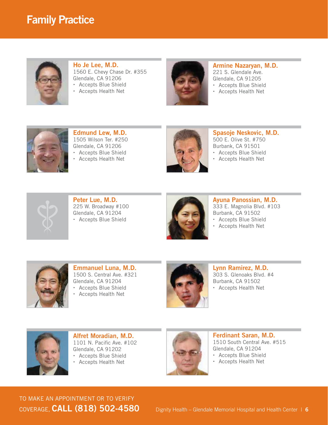

Ho Je Lee, M.D. 1560 E. Chevy Chase Dr. #355 Glendale, CA 91206 Accepts Blue Shield

Accepts Health Net



Armine Nazaryan, M.D. 221 S. Glendale Ave. Glendale, CA 91205

- Accepts Blue Shield
- Accepts Health Net



Edmund Lew, M.D. 1505 Wilson Ter. #250 Glendale, CA 91206 Accepts Blue Shield





Spasoje Neskovic, M.D. 500 E. Olive St. #750 Burbank, CA 91501 Accepts Blue Shield

Accepts Health Net



Peter Lue, M.D. 225 W. Broadway #100 Glendale, CA 91204 Accepts Blue Shield



Ayuna Panossian, M.D. 333 E. Magnolia Blvd. #103 Burbank, CA 91502 Accepts Blue Shield

Accepts Health Net



Emmanuel Luna, M.D. 1500 S. Central Ave. #321 Glendale, CA 91204 Accepts Blue Shield

Accepts Health Net



Lynn Ramirez, M.D. 303 S. Glenoaks Blvd. #4 Burbank, CA 91502 Accepts Health Net



Alfret Moradian, M.D. 1101 N. Pacific Ave. #102 Glendale, CA 91202 Accepts Blue Shield

Accepts Health Net



Ferdinant Saran, M.D. 1510 South Central Ave. #515 Glendale, CA 91204 Accepts Blue Shield

Accepts Health Net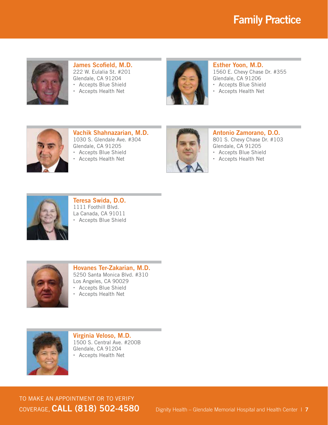

James Scofield, M.D. 222 W. Eulalia St. #201 Glendale, CA 91204 Accepts Blue Shield





#### Esther Yoon, M.D. 1560 E. Chevy Chase Dr. #355 Glendale, CA 91206

Accepts Blue Shield

Accepts Health Net



Vachik Shahnazarian, M.D. 1030 S. Glendale Ave. #304 Glendale, CA 91205 Accepts Blue Shield

Accepts Health Net



Antonio Zamorano, D.O. 801 S. Chevy Chase Dr. #103

Glendale, CA 91205

Accepts Blue Shield

Accepts Health Net



Teresa Swida, D.O. 1111 Foothill Blvd. La Canada, CA 91011 Accepts Blue Shield



Hovanes Ter-Zakarian, M.D. 5250 Santa Monica Blvd. #310 Los Angeles, CA 90029 Accepts Blue Shield

- Accepts Health Net
- 



Virginia Veloso, M.D. 1500 S. Central Ave. #200B Glendale, CA 91204 Accepts Health Net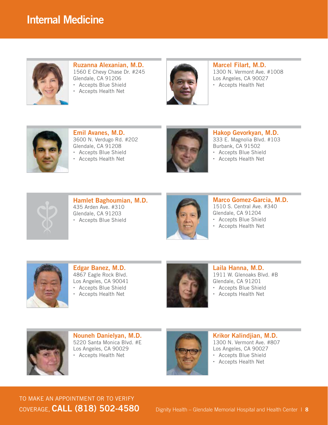#### Internal Medicine



Ruzanna Alexanian, M.D. 1560 E Chevy Chase Dr. #245 Glendale, CA 91206 Accepts Blue Shield

Accepts Health Net



Marcel Filart, M.D. 1300 N. Vermont Ave. #1008 Los Angeles, CA 90027 Accepts Health Net



Emil Avanes, M.D. 3600 N. Verdugo Rd. #202 Glendale, CA 91208 Accepts Blue Shield

Accepts Health Net



Hakop Gevorkyan, M.D. 333 E. Magnolia Blvd. #103 Burbank, CA 91502 Accepts Blue Shield

Accepts Health Net



Hamlet Baghoumian, M.D. 435 Arden Ave. #310 Glendale, CA 91203 Accepts Blue Shield



Marco Gomez-Garcia, M.D. 1510 S. Central Ave. #340 Glendale, CA 91204 Accepts Blue Shield

Accepts Health Net



Edgar Banez, M.D. 4867 Eagle Rock Blvd. Los Angeles, CA 90041 Accepts Blue Shield

Accepts Health Net



Laila Hanna, M.D. 1911 W. Glenoaks Blvd. #B Glendale, CA 91201 Accepts Blue Shield

Accepts Health Net



Nouneh Danielyan, M.D. 5220 Santa Monica Blvd. #E Los Angeles, CA 90029 Accepts Health Net



Krikor Kalindjian, M.D. 1300 N. Vermont Ave. #807 Los Angeles, CA 90027 Accepts Blue Shield

Accepts Health Net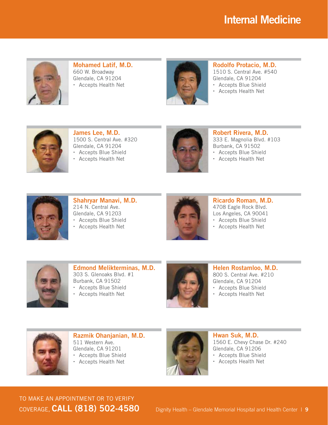## Internal Medicine



Mohamed Latif, M.D. 660 W. Broadway Glendale, CA 91204 Accepts Health Net



Rodolfo Protacio, M.D.

1510 S. Central Ave. #540 Glendale, CA 91204

- Accepts Blue Shield
- Accepts Health Net



James Lee, M.D. 1500 S. Central Ave. #320 Glendale, CA 91204 Accepts Blue Shield

Accepts Health Net



Robert Rivera, M.D. 333 E. Magnolia Blvd. #103 Burbank, CA 91502 Accepts Blue Shield

Accepts Health Net



Shahryar Manavi, M.D. 214 N. Central Ave. Glendale, CA 91203 Accepts Blue Shield

Accepts Health Net



Ricardo Roman, M.D. 4708 Eagle Rock Blvd. Los Angeles, CA 90041 Accepts Blue Shield

Accepts Health Net



Edmond Melikterminas, M.D. 303 S. Glenoaks Blvd. #1 Burbank, CA 91502 Accepts Blue Shield

Accepts Health Net



Helen Rostamloo, M.D. 800 S. Central Ave. #210 Glendale, CA 91204 Accepts Blue Shield

Accepts Health Net



Razmik Ohanjanian, M.D. 511 Western Ave. Glendale, CA 91201 Accepts Blue Shield Accepts Health Net



Hwan Suk, M.D. 1560 E. Chevy Chase Dr. #240 Glendale, CA 91206 Accepts Blue Shield

Accepts Health Net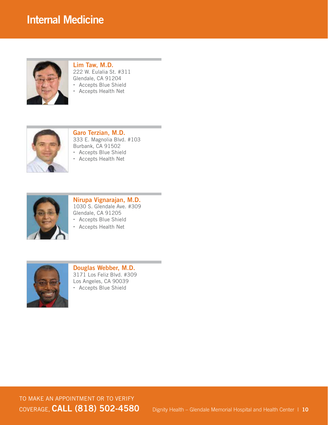

Lim Taw, M.D. 222 W. Eulalia St. #311 Glendale, CA 91204 Accepts Blue Shield Accepts Health Net



Garo Terzian, M.D. 333 E. Magnolia Blvd. #103 Burbank, CA 91502 Accepts Blue Shield

Accepts Health Net



Nirupa Vignarajan, M.D. 1030 S. Glendale Ave. #309 Glendale, CA 91205 Accepts Blue Shield

Accepts Health Net



Douglas Webber, M.D. 3171 Los Feliz Blvd. #309 Los Angeles, CA 90039 Accepts Blue Shield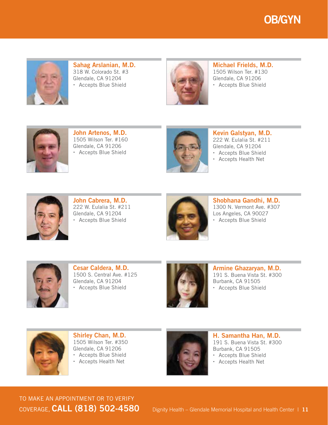



Sahag Arslanian, M.D. 318 W. Colorado St. #3 Glendale, CA 91204 Accepts Blue Shield



Michael Frields, M.D. 1505 Wilson Ter. #130 Glendale, CA 91206 Accepts Blue Shield



John Artenos, M.D. 1505 Wilson Ter. #160 Glendale, CA 91206 Accepts Blue Shield



Kevin Galstyan, M.D. 222 W. Eulalia St. #211 Glendale, CA 91204 Accepts Blue Shield

Accepts Health Net



John Cabrera, M.D. 222 W. Eulalia St. #211 Glendale, CA 91204 Accepts Blue Shield



Shobhana Gandhi, M.D. 1300 N. Vermont Ave. #307 Los Angeles, CA 90027 Accepts Blue Shield



Cesar Caldera, M.D. 1500 S. Central Ave. #125 Glendale, CA 91204 Accepts Blue Shield



Armine Ghazaryan, M.D. 191 S. Buena Vista St. #300 Burbank, CA 91505 Accepts Blue Shield



Shirley Chan, M.D. 1505 Wilson Ter. #350 Glendale, CA 91206 Accepts Blue Shield Accepts Health Net



H. Samantha Han, M.D. 191 S. Buena Vista St. #300 Burbank, CA 91505 Accepts Blue Shield Accepts Health Net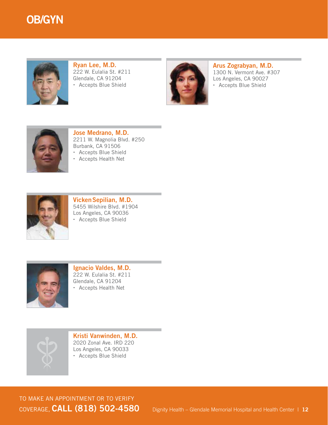#### OB/GYN



Ryan Lee, M.D. 222 W. Eulalia St. #211 Glendale, CA 91204 Accepts Blue Shield



Arus Zograbyan, M.D. 1300 N. Vermont Ave. #307 Los Angeles, CA 90027 Accepts Blue Shield



Jose Medrano, M.D. 2211 W. Magnolia Blvd. #250 Burbank, CA 91506 Accepts Blue Shield

Accepts Health Net



VickenSepilian, M.D. 5455 Wilshire Blvd. #1904 Los Angeles, CA 90036 Accepts Blue Shield



Ignacio Valdes, M.D. 222 W. Eulalia St. #211 Glendale, CA 91204 Accepts Health Net



Kristi Vanwinden, M.D. 2020 Zonal Ave. IRD 220 Los Angeles, CA 90033 Accepts Blue Shield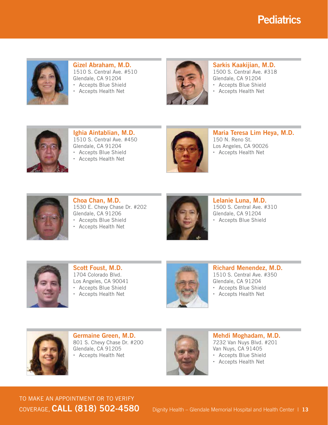### **Pediatrics**



Gizel Abraham, M.D. 1510 S. Central Ave. #510 Glendale, CA 91204 Accepts Blue Shield

Accepts Health Net



Sarkis Kaakijian, M.D. 1500 S. Central Ave. #318

Glendale, CA 91204 Accepts Blue Shield

Accepts Health Net



Ighia Aintablian, M.D. 1510 S. Central Ave. #450 Glendale, CA 91204 Accepts Blue Shield

Accepts Health Net



Maria Teresa Lim Heya, M.D. 150 N. Reno St. Los Angeles, CA 90026 Accepts Health Net



Choa Chan, M.D. 1530 E. Chevy Chase Dr. #202 Glendale, CA 91206 Accepts Blue Shield

Accepts Health Net



Lelanie Luna, M.D. 1500 S. Central Ave. #310 Glendale, CA 91204 Accepts Blue Shield



Scott Foust, M.D. 1704 Colorado Blvd. Los Angeles, CA 90041 Accepts Blue Shield

Accepts Health Net



Richard Menendez, M.D. 1510 S. Central Ave. #350 Glendale, CA 91204 Accepts Blue Shield

Accepts Health Net



Germaine Green, M.D. 801 S. Chevy Chase Dr. #200 Glendale, CA 91205 Accepts Health Net



Mehdi Moghadam, M.D. 7232 Van Nuys Blvd. #201 Van Nuys, CA 91405 Accepts Blue Shield

Accepts Health Net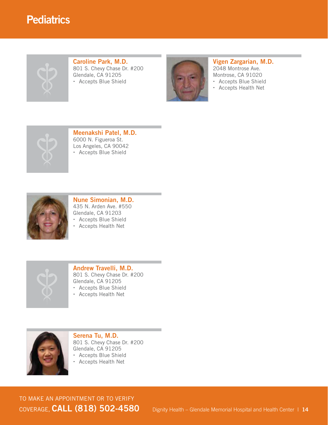#### **Pediatrics**



#### Caroline Park, M.D. 801 S. Chevy Chase Dr. #200 Glendale, CA 91205

Accepts Blue Shield



#### Vigen Zargarian, M.D. 2048 Montrose Ave.

Montrose, CA 91020

- Accepts Blue Shield
- Accepts Health Net



#### Meenakshi Patel, M.D.

6000 N. Figueroa St. Los Angeles, CA 90042 Accepts Blue Shield



#### Nune Simonian, M.D. 435 N. Arden Ave. #550 Glendale, CA 91203

Accepts Blue Shield

Accepts Health Net



#### Andrew Travelli, M.D. 801 S. Chevy Chase Dr. #200 Glendale, CA 91205

- Accepts Blue Shield
- Accepts Health Net



Serena Tu, M.D. 801 S. Chevy Chase Dr. #200 Glendale, CA 91205 Accepts Blue Shield

Accepts Health Net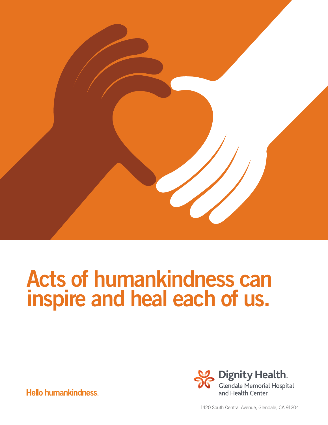

## Acts of humankindness can inspire and heal each of us.

**Dignity Health.** Glendale Memorial Hospital and Health Center

**Hello humankindness** 

1420 South Central Avenue, Glendale, CA 91204